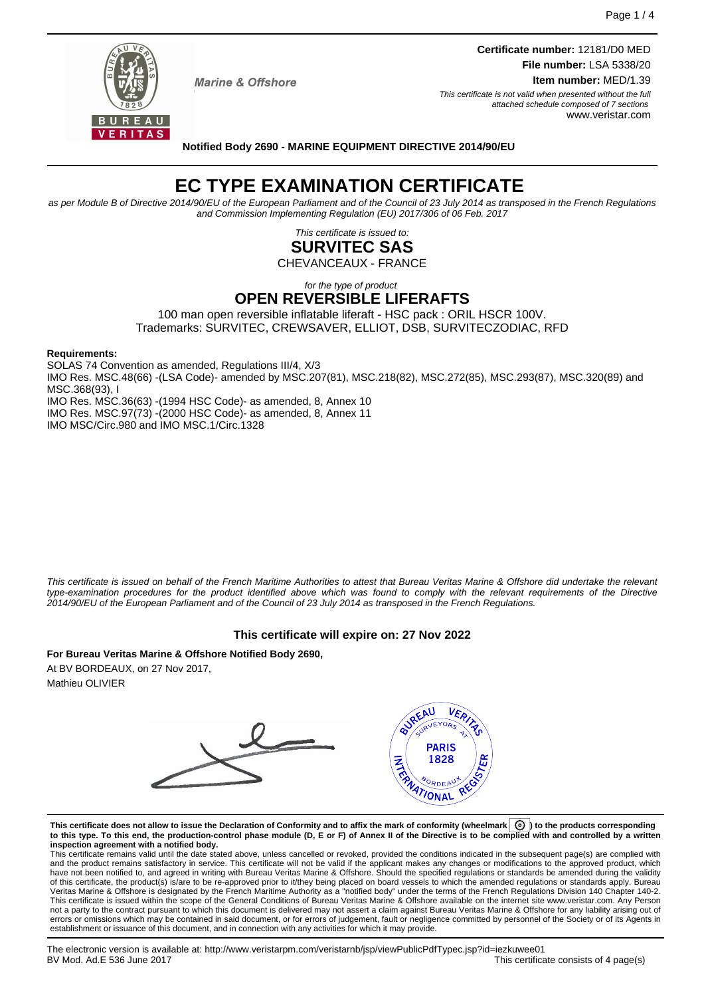

**Marine & Offshore** 

**Certificate number:** 12181/D0 MED **File number:** LSA 5338/20 **Item number:** MED/1.39

This certificate is not valid when presented without the full attached schedule composed of 7 sections www.veristar.com

**Notified Body 2690 - MARINE EQUIPMENT DIRECTIVE 2014/90/EU**

# **EC TYPE EXAMINATION CERTIFICATE**

as per Module B of Directive 2014/90/EU of the European Parliament and of the Council of 23 July 2014 as transposed in the French Regulations and Commission Implementing Regulation (EU) 2017/306 of 06 Feb. 2017

> This certificate is issued to: **SURVITEC SAS**

CHEVANCEAUX - FRANCE

for the type of product

# **OPEN REVERSIBLE LIFERAFTS**

100 man open reversible inflatable liferaft - HSC pack : ORIL HSCR 100V. Trademarks: SURVITEC, CREWSAVER, ELLIOT, DSB, SURVITECZODIAC, RFD

### **Requirements:**

SOLAS 74 Convention as amended, Regulations III/4, X/3 IMO Res. MSC.48(66) -(LSA Code)- amended by MSC.207(81), MSC.218(82), MSC.272(85), MSC.293(87), MSC.320(89) and MSC.368(93), I IMO Res. MSC.36(63) -(1994 HSC Code)- as amended, 8, Annex 10 IMO Res. MSC.97(73) -(2000 HSC Code)- as amended, 8, Annex 11

IMO MSC/Circ.980 and IMO MSC.1/Circ.1328

This certificate is issued on behalf of the French Maritime Authorities to attest that Bureau Veritas Marine & Offshore did undertake the relevant type-examination procedures for the product identified above which was found to comply with the relevant requirements of the Directive 2014/90/EU of the European Parliament and of the Council of 23 July 2014 as transposed in the French Regulations.

# **This certificate will expire on: 27 Nov 2022**

**For Bureau Veritas Marine & Offshore Notified Body 2690,** At BV BORDEAUX, on 27 Nov 2017, Mathieu OLIVIER



**This certificate does not allow to issue the Declaration of Conformity and to affix the mark of conformity (wheelmark ) to the products corresponding to this type. To this end, the production-control phase module (D, E or F) of Annex II of the Directive is to be complied with and controlled by a written inspection agreement with a notified body.**

This certificate remains valid until the date stated above, unless cancelled or revoked, provided the conditions indicated in the subsequent page(s) are complied with and the product remains satisfactory in service. This certificate will not be valid if the applicant makes any changes or modifications to the approved product, which have not been notified to, and agreed in writing with Bureau Veritas Marine & Offshore. Should the specified regulations or standards be amended during the validity of this certificate, the product(s) is/are to be re-approved prior to it/they being placed on board vessels to which the amended regulations or standards apply. Bureau<br>Veritas Marine & Offshore is designated by the French not a party to the contract pursuant to which this document is delivered may not assert a claim against Bureau Veritas Marine & Offshore for any liability arising out of errors or omissions which may be contained in said document, or for errors of judgement, fault or negligence committed by personnel of the Society or of its Agents in establishment or issuance of this document, and in connection with any activities for which it may provide.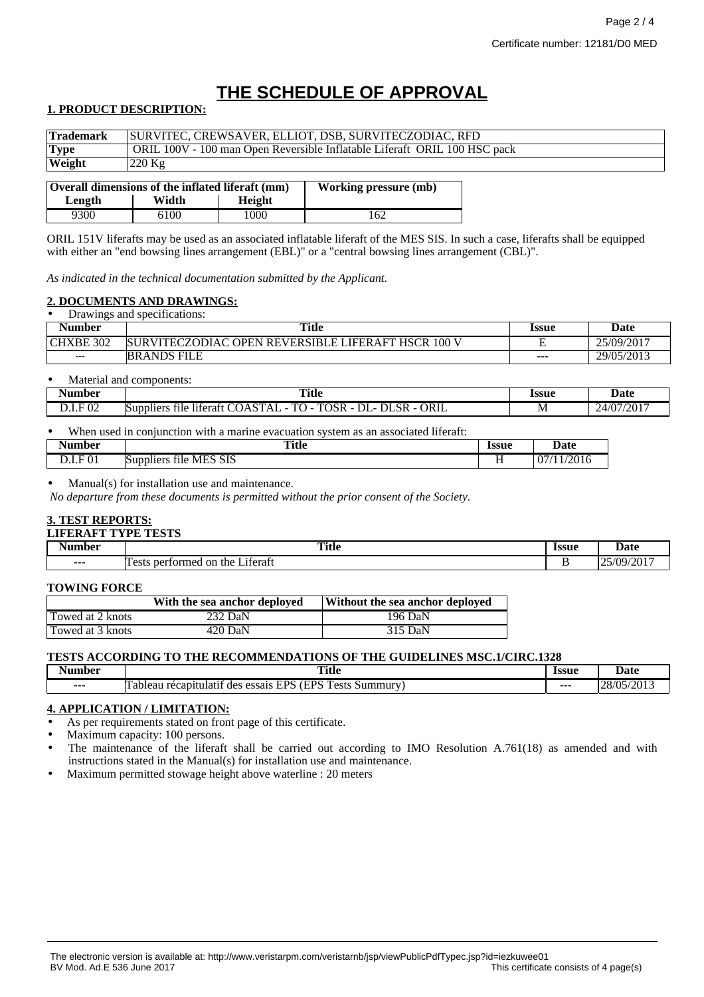# **THE SCHEDULE OF APPROVAL**

# **1. PRODUCT DESCRIPTION:**

| <b>Trademark</b><br>SURVITEC, CREWSAVER, ELLIOT, DSB, SURVITECZODIAC, RFD               |                                                                           |  |
|-----------------------------------------------------------------------------------------|---------------------------------------------------------------------------|--|
| <b>Type</b>                                                                             | ORIL 100V - 100 man Open Reversible Inflatable Liferaft ORIL 100 HSC pack |  |
| Weight                                                                                  | $220 \text{ kg}$                                                          |  |
| <b>Overall dimensions of the inflated liferaft (mm)</b><br><b>Working pressure (mb)</b> |                                                                           |  |

| Length | Width | Height | . . |
|--------|-------|--------|-----|
| we     | 100   | 000    | ⊥∪∠ |

ORIL 151V liferafts may be used as an associated inflatable liferaft of the MES SIS. In such a case, liferafts shall be equipped with either an "end bowsing lines arrangement (EBL)" or a "central bowsing lines arrangement (CBL)".

*As indicated in the technical documentation submitted by the Applicant.*

# **2. DOCUMENTS AND DRAWINGS:**

| Drawings and specifications: |                                                    |         |            |
|------------------------------|----------------------------------------------------|---------|------------|
| Number                       | Title                                              | Issue   | Date       |
| <b>CHXBE 302</b>             | SURVITECZODIAC OPEN REVERSIBLE LIFERAFT HSCR 100 V |         | 25/09/2017 |
| $---$                        | <b>BRANDS FILE</b>                                 | $- - -$ | 29/05/2013 |

# • Material and components:

| \umber                                                               | $T = 0.1$<br>Title<br>$\sim$ $\sim$                                                                                                                                                                         | <b>CC116</b><br>ьые | Date<br>.                    |
|----------------------------------------------------------------------|-------------------------------------------------------------------------------------------------------------------------------------------------------------------------------------------------------------|---------------------|------------------------------|
| $^{\circ}02$<br>the contract of the contract of the<br>$\sim$ $\sim$ | <b>ORIL</b><br><b>SR</b><br>-<br>.<br>$\alpha$<br>$\sim$<br>$\sqrt{2}$<br>ור<br>w<br>ונ<br>$\overline{\phantom{a}}$<br>Supplier<br>literati<br>$\mathbf{A}$<br>tile.<br><br>. T<br>. .<br>$\sim$ $-$<br>. . | ΙVΙ                 | $4/07/201$ <sup>-</sup><br>ж |

When used in conjunction with a marine evacuation system as an associated liferaft:

| Numhar                               | Title                                                                                                 | <b>Issue</b> | Date                                |
|--------------------------------------|-------------------------------------------------------------------------------------------------------|--------------|-------------------------------------|
|                                      | $\sim$ $\sim$                                                                                         | .            | .                                   |
| $\sim$ $\sim$<br>0 <sub>1</sub><br>. | <b>SIS</b><br>on a<br>m<br>unr<br>M F<br>adder <sup>e</sup><br>111e<br><b>JUD</b><br>,,,,,,<br>$   -$ | . .          | 201<br>v<br>. $\omega$ U 1 $\omega$ |

Manual(s) for installation use and maintenance.

*No departure from these documents is permitted without the prior consent of the Society.*

#### **3. TEST REPORTS: LIFERAFT TYPE TESTS**

| LIFENAF I<br>UD I D<br>. |                                                                           |       |                                             |
|--------------------------|---------------------------------------------------------------------------|-------|---------------------------------------------|
| . .<br>Nur<br>mber       | Title                                                                     | Issue | Jate                                        |
| ---                      | $\cdot$ $\sim$<br>- performed<br>Liferaft<br>on<br>the<br>l`≏ct<br>н сэгэ | ∸     | /2017<br>$^{\prime}$ $\Omega$<br>$\sqrt{2}$ |

### **TOWING FORCE**

|                  | With the sea anchor deployed | Without the sea anchor deployed |
|------------------|------------------------------|---------------------------------|
| Towed at 2 knots | 232 DaN                      | 196 DaN                         |
| Towed at 3 knots | 420 DaN                      | 315 DaN                         |

# **TESTS ACCORDING TO THE RECOMMENDATIONS OF THE GUIDELINES MSC.1/CIRC.1328**

| Number  | <b>CONTRACTOR</b><br><b>Title</b><br>$\sim$ $\sim$                                                                                      | lecue<br>- 33u− | <b>Date</b>                                                         |
|---------|-----------------------------------------------------------------------------------------------------------------------------------------|-----------------|---------------------------------------------------------------------|
| $- - -$ | <b>TEDC</b><br>FDS<br>$\overline{\phantom{a}}$<br>`ummurv<br>canit<br>- ∩et<br>essais<br>$\sim$<br>ulatı+<br>des<br>ablear<br>-<br>,,,, | $- - -$         | $J/N$ 5/2011<br>$\Delta$<br>$\Delta$<br>′∠∪ 1<br>. .<br>$1.7 - 7.7$ |

## **4. APPLICATION / LIMITATION:**

As per requirements stated on front page of this certificate.

Maximum capacity: 100 persons.

The maintenance of the liferaft shall be carried out according to IMO Resolution A.761(18) as amended and with instructions stated in the Manual(s) for installation use and maintenance.

• Maximum permitted stowage height above waterline : 20 meters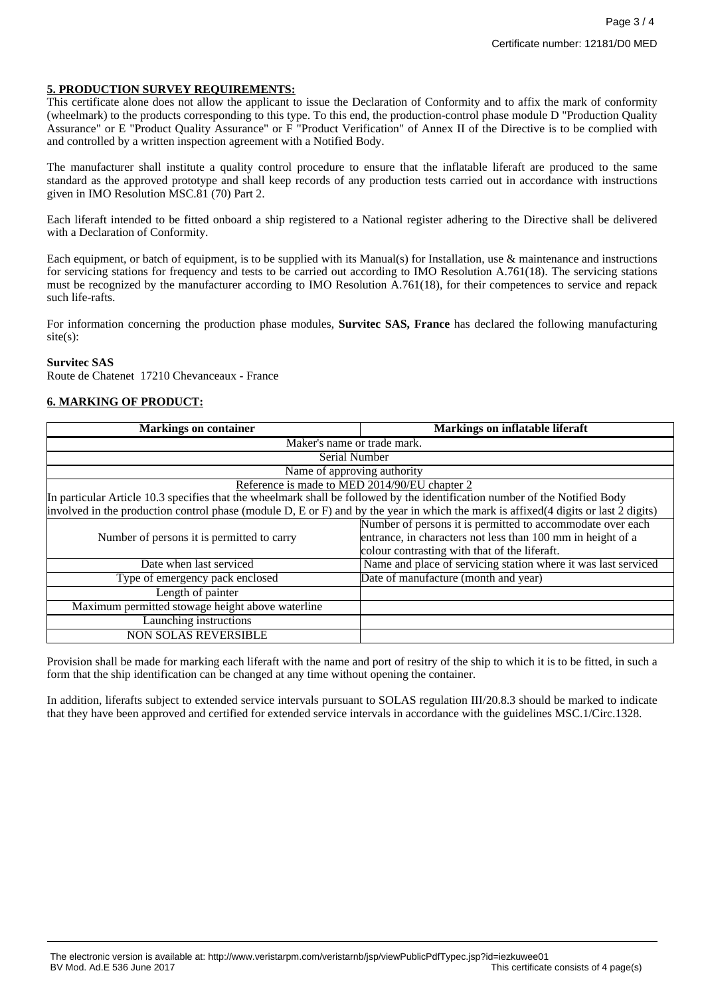# **5. PRODUCTION SURVEY REQUIREMENTS:**

This certificate alone does not allow the applicant to issue the Declaration of Conformity and to affix the mark of conformity (wheelmark) to the products corresponding to this type. To this end, the production-control phase module D "Production Quality Assurance" or E "Product Quality Assurance" or F "Product Verification" of Annex II of the Directive is to be complied with and controlled by a written inspection agreement with a Notified Body.

The manufacturer shall institute a quality control procedure to ensure that the inflatable liferaft are produced to the same standard as the approved prototype and shall keep records of any production tests carried out in accordance with instructions given in IMO Resolution MSC.81 (70) Part 2.

Each liferaft intended to be fitted onboard a ship registered to a National register adhering to the Directive shall be delivered with a Declaration of Conformity.

Each equipment, or batch of equipment, is to be supplied with its Manual(s) for Installation, use & maintenance and instructions for servicing stations for frequency and tests to be carried out according to IMO Resolution A.761(18). The servicing stations must be recognized by the manufacturer according to IMO Resolution A.761(18), for their competences to service and repack such life-rafts.

For information concerning the production phase modules, **Survitec SAS, France** has declared the following manufacturing site(s):

### **Survitec SAS**

Route de Chatenet 17210 Chevanceaux - France

# **6. MARKING OF PRODUCT:**

| <b>Markings on container</b>                                                                                                            | <b>Markings on inflatable liferaft</b>                         |  |
|-----------------------------------------------------------------------------------------------------------------------------------------|----------------------------------------------------------------|--|
| Maker's name or trade mark.                                                                                                             |                                                                |  |
| Serial Number                                                                                                                           |                                                                |  |
| Name of approving authority                                                                                                             |                                                                |  |
| Reference is made to MED 2014/90/EU chapter 2                                                                                           |                                                                |  |
| In particular Article 10.3 specifies that the wheelmark shall be followed by the identification number of the Notified Body             |                                                                |  |
| involved in the production control phase (module $D$ , E or F) and by the year in which the mark is affixed (4 digits or last 2 digits) |                                                                |  |
|                                                                                                                                         | Number of persons it is permitted to accommodate over each     |  |
| Number of persons it is permitted to carry                                                                                              | entrance, in characters not less than 100 mm in height of a    |  |
|                                                                                                                                         | colour contrasting with that of the liferaft.                  |  |
| Date when last serviced                                                                                                                 | Name and place of servicing station where it was last serviced |  |
| Type of emergency pack enclosed                                                                                                         | Date of manufacture (month and year)                           |  |
| Length of painter                                                                                                                       |                                                                |  |
| Maximum permitted stowage height above waterline                                                                                        |                                                                |  |
| Launching instructions                                                                                                                  |                                                                |  |
| <b>NON SOLAS REVERSIBLE</b>                                                                                                             |                                                                |  |

Provision shall be made for marking each liferaft with the name and port of resitry of the ship to which it is to be fitted, in such a form that the ship identification can be changed at any time without opening the container.

In addition, liferafts subject to extended service intervals pursuant to SOLAS regulation III/20.8.3 should be marked to indicate that they have been approved and certified for extended service intervals in accordance with the guidelines MSC.1/Circ.1328.